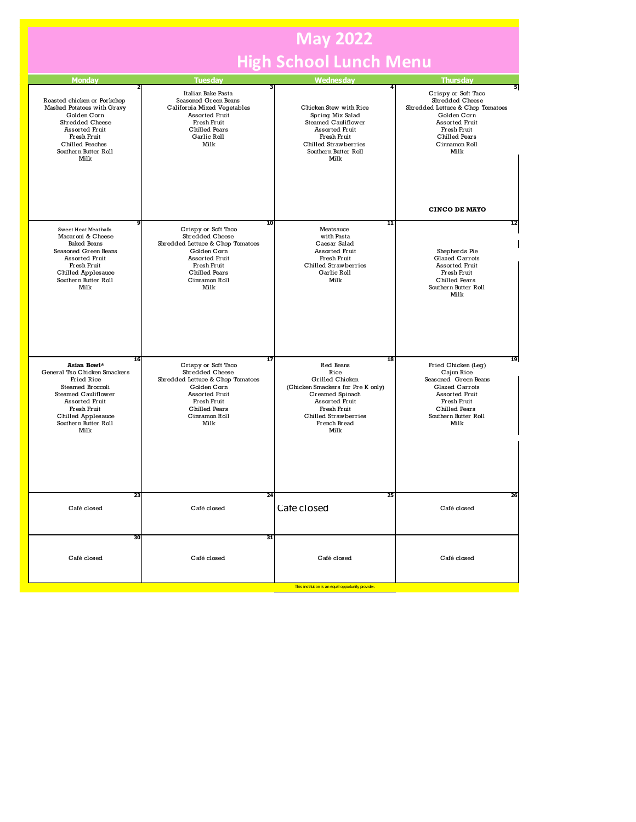## **May 2022 High School Lunch Menu**

| <b>Monday</b>                                                                                                                                                                                            | <b>Tuesday</b>                                                                                                                                                                          | <b>Wednesday</b>                                                                                                                                                                    | <b>Thursday</b>                                                                                                                                                                                          |
|----------------------------------------------------------------------------------------------------------------------------------------------------------------------------------------------------------|-----------------------------------------------------------------------------------------------------------------------------------------------------------------------------------------|-------------------------------------------------------------------------------------------------------------------------------------------------------------------------------------|----------------------------------------------------------------------------------------------------------------------------------------------------------------------------------------------------------|
| Roasted chicken or Porkchop<br>Mashed Potatoes with Gravy<br>Golden Corn<br>Shredded Cheese<br><b>Assorted Fruit</b><br>Fresh Fruit<br>Chilled Peaches<br>Southern Butter Roll<br>Milk                   | Italian Bake Pasta<br>Seasoned Green Beans<br>California Mixed Vegetables<br>Assorted Fruit<br>Fresh Fruit<br>Chilled Pears<br>Garlic Roll<br>Milk                                      | Chicken Stew with Rice<br>Spring Mix Salad<br>Steamed Cauliflower<br><b>Assorted Fruit</b><br>Fresh Fruit<br>Chilled Strawberries<br>Southern Butter Roll<br>Milk                   | 5<br>Crispy or Soft Taco<br>Shredded Cheese<br>Shredded Lettuce & Chop Tomatoes<br>Golden Corn<br><b>Assorted Fruit</b><br>Fresh Fruit<br>Chilled Pears<br>Cinnamon Roll<br>Milk<br><b>CINCO DE MAYO</b> |
| <b>Sweet Heat Meatballs</b><br>Macaroni & Cheese<br><b>Baked Beans</b><br>Seasoned Green Beans<br>Assorted Fruit<br>Fresh Fruit<br>Chilled Applesauce<br>Southern Butter Roll<br>Milk                    | $\overline{10}$<br>Crispy or Soft Taco<br>Shredded Cheese<br>Shredded Lettuce & Chop Tomatoes<br>Golden Corn<br>Assorted Fruit<br>Fresh Fruit<br>Chilled Pears<br>Cinnamon Roll<br>Milk | 11<br>Meatsauce<br>with Pasta<br>Caesar Salad<br><b>Assorted Fruit</b><br>Fresh Fruit<br>Chilled Strawberries<br>Garlic Roll<br>Milk                                                | 12<br>Shepherds Pie<br>Glazed Carrots<br>Assorted Fruit<br>Fresh Fruit<br>Chilled Pears<br>Southern Butter Roll<br>Milk                                                                                  |
| 16<br>Asian Bowl*<br>General Tso Chicken Smackers<br><b>Fried Rice</b><br>Steamed Broccoli<br>Steamed Cauliflower<br>Assorted Fruit<br>Fresh Fruit<br>Chilled Applesauce<br>Southern Butter Roll<br>Milk | $\overline{17}$<br>Crispy or Soft Taco<br>Shredded Cheese<br>Shredded Lettuce & Chop Tomatoes<br>Golden Corn<br>Assorted Fruit<br>Fresh Fruit<br>Chilled Pears<br>Cinnamon Roll<br>Milk | 18<br>Red Beans<br>Rice<br>Grilled Chicken<br>(Chicken Smackers for Pre K only)<br>Creamed Spinach<br>Assorted Fruit<br>Fresh Fruit<br>Chilled Strawberries<br>French Bread<br>Milk | 19<br>Fried Chicken (Leg)<br>Cajun Rice<br>Seasoned Green Beans<br>Glazed Carrots<br>Assorted Fruit<br>Fresh Fruit<br>Chilled Pears<br>Southern Butter Roll<br>Milk                                      |
| 23<br>Café closed                                                                                                                                                                                        | 24<br>Café closed                                                                                                                                                                       | 25<br>Café closed                                                                                                                                                                   | 26<br>Café closed                                                                                                                                                                                        |
| 30<br>Café closed                                                                                                                                                                                        | 31<br>Café closed                                                                                                                                                                       | Café closed                                                                                                                                                                         | Café closed                                                                                                                                                                                              |
|                                                                                                                                                                                                          |                                                                                                                                                                                         | This institution is an equal opportunity provider.                                                                                                                                  |                                                                                                                                                                                                          |